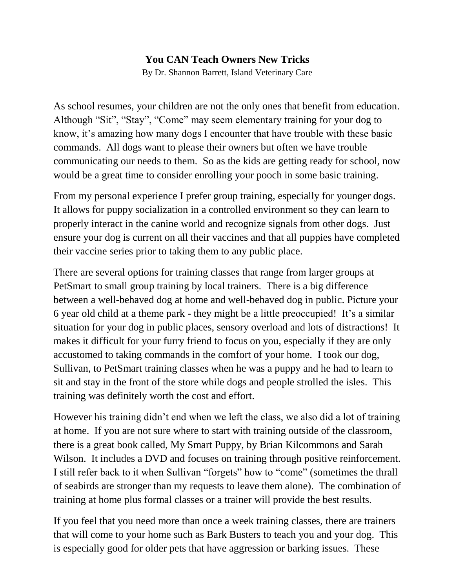## **You CAN Teach Owners New Tricks**

By Dr. Shannon Barrett, Island Veterinary Care

As school resumes, your children are not the only ones that benefit from education. Although "Sit", "Stay", "Come" may seem elementary training for your dog to know, it's amazing how many dogs I encounter that have trouble with these basic commands. All dogs want to please their owners but often we have trouble communicating our needs to them. So as the kids are getting ready for school, now would be a great time to consider enrolling your pooch in some basic training.

From my personal experience I prefer group training, especially for younger dogs. It allows for puppy socialization in a controlled environment so they can learn to properly interact in the canine world and recognize signals from other dogs. Just ensure your dog is current on all their vaccines and that all puppies have completed their vaccine series prior to taking them to any public place.

There are several options for training classes that range from larger groups at PetSmart to small group training by local trainers. There is a big difference between a well-behaved dog at home and well-behaved dog in public. Picture your 6 year old child at a theme park - they might be a little preoccupied! It's a similar situation for your dog in public places, sensory overload and lots of distractions! It makes it difficult for your furry friend to focus on you, especially if they are only accustomed to taking commands in the comfort of your home. I took our dog, Sullivan, to PetSmart training classes when he was a puppy and he had to learn to sit and stay in the front of the store while dogs and people strolled the isles. This training was definitely worth the cost and effort.

However his training didn't end when we left the class, we also did a lot of training at home. If you are not sure where to start with training outside of the classroom, there is a great book called, My Smart Puppy, by Brian Kilcommons and Sarah Wilson. It includes a DVD and focuses on training through positive reinforcement. I still refer back to it when Sullivan "forgets" how to "come" (sometimes the thrall of seabirds are stronger than my requests to leave them alone). The combination of training at home plus formal classes or a trainer will provide the best results.

If you feel that you need more than once a week training classes, there are trainers that will come to your home such as Bark Busters to teach you and your dog. This is especially good for older pets that have aggression or barking issues. These